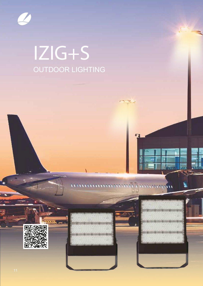

# IZIG+S OUTDOOR LIGHTING



Them



 $\overline{\mathbf{w}}$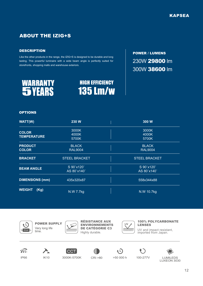# ABOUT THE IZIG+S

#### **DESCRIPTION**

Like the other products in the range, the IZIG+S is designed to be durable and long lasting. This powerful luminaire with a wide beam angle is perfectly suited for storefronts, shopping malls and warehouse exteriors.



HIGH EFFICIENCY 135 Lm/w POWER / LUMENS 230W 29800 lm 300W 38600 lm

#### OPTIONS

| <b>WATT(W)</b>                     | 230 W                                   | 300 W                                   |
|------------------------------------|-----------------------------------------|-----------------------------------------|
| <b>COLOR</b><br><b>TEMPERATURE</b> | 3000K<br>4000K                          | 3000K<br>4000K                          |
| <b>PRODUCT</b><br><b>COLOR</b>     | 5700K<br><b>BLACK</b><br><b>RAL9004</b> | 5700K<br><b>BLACK</b><br><b>RAL9004</b> |
| <b>BRACKET</b>                     | <b>STEEL BRACKET</b>                    | <b>STEEL BRACKET</b>                    |
| <b>BEAM ANGLE</b>                  | S 90°x120°<br>AS 80°x140°               | S 90°x120°<br>AS 80°x140°               |
| <b>DIMENSIONS (mm)</b>             | 435x320x87                              | 558x344x88                              |
| <b>WEIGHT</b><br>(Kg)              | N.W 7.7kg                               | N.W 10.7kg                              |



Very long life time.



POWER SUPPLY RÉSISTANCE AUX ENVIRONNEMENTS DE CATÉGORIE C3 Highly durable.



100% POLYCARBONATE LENSES

UV and impact resistant, imported from Japan.





**CCT** 

3000K-5700K CRI >80 >50 000 h

 $\star$  D





IP66 IK10 3000K-5700K CRI >80 >50 000 h 100-277V LUMILEDS LUXEON 3030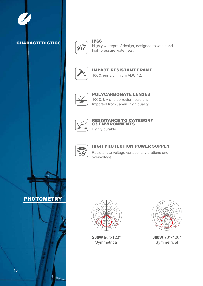

PHOTOMETRY



IP66 Highly waterproof design, designed to withstand high-pressure water jets.



IMPACT RESISTANT FRAME 100% pur aluminium ADC 12.



100% UV and corrosion resistant Imported from Japan, high quality. POLYCARBONATE LENSES



## RESISTANCE TO CATEGORY C3 ENVIRONMENTS

Highly durable.



## HIGH PROTECTION POWER SUPPLY

Resistant to voltage variations, vibrations and overvoltage.



**230W** 90°x120° **Symmetrical** 



**300W** 90°x120° **Symmetrical**